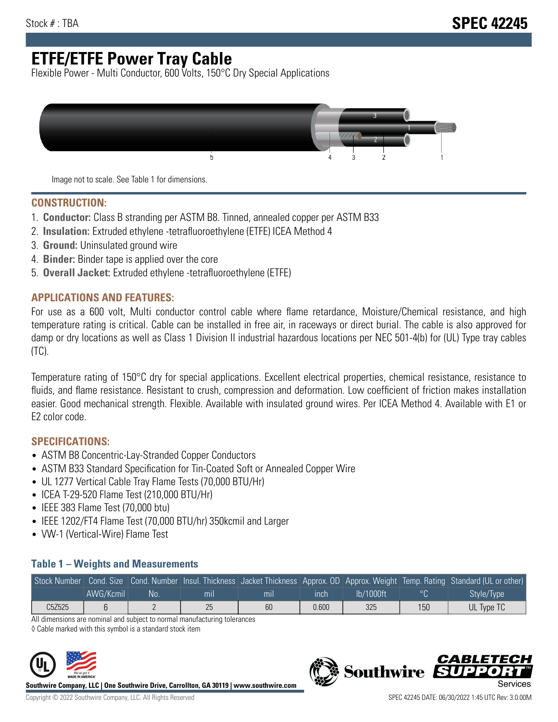# **ETFE/ETFE Power Tray Cable**

Flexible Power - Multi Conductor, 600 Volts, 150°C Dry Special Applications



Image not to scale. See Table 1 for dimensions.

#### **CONSTRUCTION:**

- 1. **Conductor:** Class B stranding per ASTM B8. Tinned, annealed copper per ASTM B33
- 2. **Insulation:** Extruded ethylene -tetrafluoroethylene (ETFE) ICEA Method 4
- 3. **Ground:** Uninsulated ground wire
- 4. **Binder:** Binder tape is applied over the core
- 5. **Overall Jacket:** Extruded ethylene -tetrafluoroethylene (ETFE)

### **APPLICATIONS AND FEATURES:**

For use as a 600 volt, Multi conductor control cable where flame retardance, Moisture/Chemical resistance, and high temperature rating is critical. Cable can be installed in free air, in raceways or direct burial. The cable is also approved for damp or dry locations as well as Class 1 Division II industrial hazardous locations per NEC 501-4(b) for (UL) Type tray cables (TC).

Temperature rating of 150°C dry for special applications. Excellent electrical properties, chemical resistance, resistance to fluids, and flame resistance. Resistant to crush, compression and deformation. Low coefficient of friction makes installation easier. Good mechanical strength. Flexible. Available with insulated ground wires. Per ICEA Method 4. Available with E1 or E2 color code.

## **SPECIFICATIONS:**

- ASTM B8 Concentric-Lay-Stranded Copper Conductors
- ASTM B33 Standard Specification for Tin-Coated Soft or Annealed Copper Wire
- UL 1277 Vertical Cable Tray Flame Tests (70,000 BTU/Hr)
- ICEA T-29-520 Flame Test (210,000 BTU/Hr)
- IEEE 383 Flame Test (70,000 btu)
- IEEE 1202/FT4 Flame Test (70,000 BTU/hr) 350kcmil and Larger
- VW-1 (Vertical-Wire) Flame Test

### **Table 1 – Weights and Measurements**

|        |           |     |     |     |       |           |                | Stock Number Cond. Size Cond. Number Insul. Thickness Jacket Thickness Approx. OD Approx. Weight Temp. Rating Standard (UL or other) |
|--------|-----------|-----|-----|-----|-------|-----------|----------------|--------------------------------------------------------------------------------------------------------------------------------------|
|        | AWG/Kcmil | :No | mıl | mil | inch  | lb/1000ft | $\circ$ $\cap$ | Style/Type                                                                                                                           |
| C5Z525 |           |     | 25  | 60  | 0.600 | 325       | 150            | UL Type TC                                                                                                                           |

All dimensions are nominal and subject to normal manufacturing tolerances

◊ Cable marked with this symbol is a standard stock item



**Southwire Company, LLC | One Southwire Drive, Carrollton, GA 30119 | www.southwire.com**



CARLET